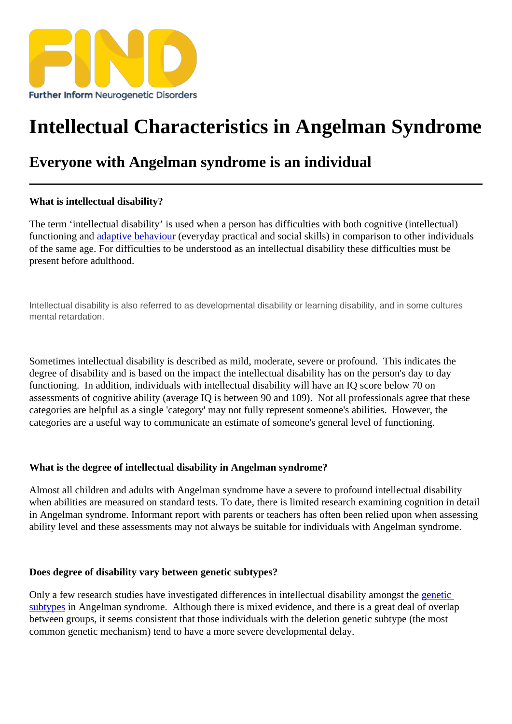# [Intellectual Charac](https://findresources.co.uk)teristics in Angelman Syndrome

# Everyone with Angelman syndrome is an individual

## What is intellectual disability?

The term 'intellectual disability' is used when a personditiculties with both cognitive (intellectual) functioning and adaptive behaviour (everyday practical and social skills) comparison to other individuals of the same age. For difficulties to be understood as an intellectual disability these difficulties present before adulthood.

Intellectual disability is also referred to as developmental disability or learning disability, and in some cultures mental retardation.

Sometimes intellectual disability is described as moderate, severe or profound his indicates the degree of disability and is based on the impact the intellectual disability has on the person's day to day functioning. In addition, individuals with intellectual disability will have an IQ score below 70 on assessments of cognitive ability (average IQ is between 90 and 109). Not all professionals agree that these categories are helpful as a single 'category' may not fully represent someone's abilities. However, the categories are a useful way to communicate an estimate of someone's general level of functioning.

What is the degree of intellectual disability in Angelman syndrome?

Almost all children and adults with Angelman syndrome have are to profounid tellectual disability when abilities are measured on standard tests. To date, theniteis researclexamining cognition in detail in Angelman syndrome. Informant report with parents or teachers has often been relied upon when assessing ability level and these assessments may not always be suitable for individuals with Angelman syndrome.

Does degree of disability vary between genetic subtypes?

Only a few research studies have investigated differences in intellectual disability amongest the subtypes in Angelman syndrome. Although there is mixed evidence, and there is a great deal of overlap between groups, it seems consistent that those individuals wideletie on genetic subtype he most common genetic mechanism) tend to have a more severe developmental delay.